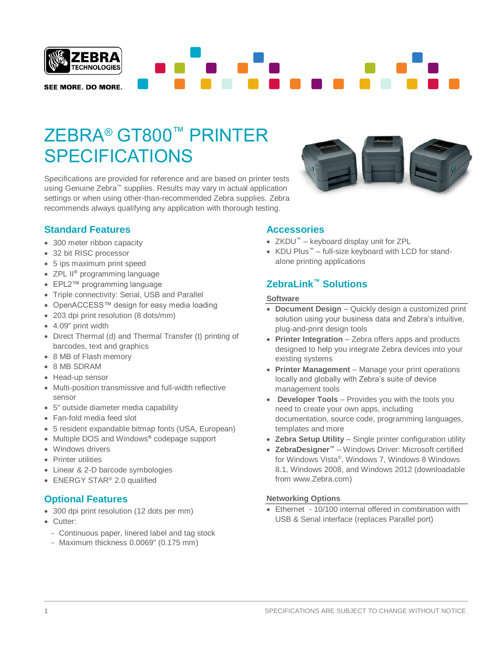

# ZEBRA® GT800™ PRINTER **SPECIFICATIONS**

Specifications are provided for reference and are based on printer tests using Genuine Zebra™ supplies. Results may vary in actual application settings or when using other-than-recommended Zebra supplies. Zebra recommends always qualifying any application with thorough testing.

# **Standard Features**

- 300 meter ribbon capacity
- 32 bit RISC processor
- 5 ips maximum print speed
- ZPL II**®** programming language
- EPL2™ programming language
- Triple connectivity: Serial, USB and Parallel
- OpenACCESS™ design for easy media loading
- 203 dpi print resolution (8 dots/mm)
- 4.09" print width
- Direct Thermal (d) and Thermal Transfer (t) printing of barcodes, text and graphics
- 8 MB of Flash memory
- 8 MB SDRAM
- Head-up sensor
- Multi-position transmissive and full-width reflective sensor
- 5" outside diameter media capability
- Fan-fold media feed slot
- 5 resident expandable bitmap fonts (USA, European)
- Multiple DOS and Windows**®** codepage support
- Windows drivers
- Printer utilities
- Linear & 2-D barcode symbologies
- ENERGY STAR<sup>®</sup> 2.0 qualified

# **Optional Features**

- 300 dpi print resolution (12 dots per mm)
- Cutter:
	- Continuous paper, linered label and tag stock
- Maximum thickness 0.0069" (0.175 mm)

#### **Accessories**

- ZKDU™ keyboard display unit for ZPL
- KDU Plus™ full-size keyboard with LCD for standalone printing applications

# **ZebraLink™ Solutions**

#### **Software**

- **Document Design** Quickly design a customized print solution using your business data and Zebra's intuitive, plug-and-print design tools
- **Printer Integration** Zebra offers apps and products designed to help you integrate Zebra devices into your existing systems
- **Printer Management** Manage your print operations locally and globally with Zebra's suite of device management tools
- **Developer Tools** Provides you with the tools you need to create your own apps, including documentation, source code, programming languages, templates and more
- **Zebra Setup Utility** Single printer configuration utility
- **ZebraDesigner™** Windows Driver: Microsoft certified for Windows Vista® , Windows 7, Windows 8 Windows 8.1, Windows 2008, and Windows 2012 (downloadable from www.Zebra.com)

#### **Networking Options**

• Ethernet - 10/100 internal offered in combination with USB & Serial interface (replaces Parallel port)

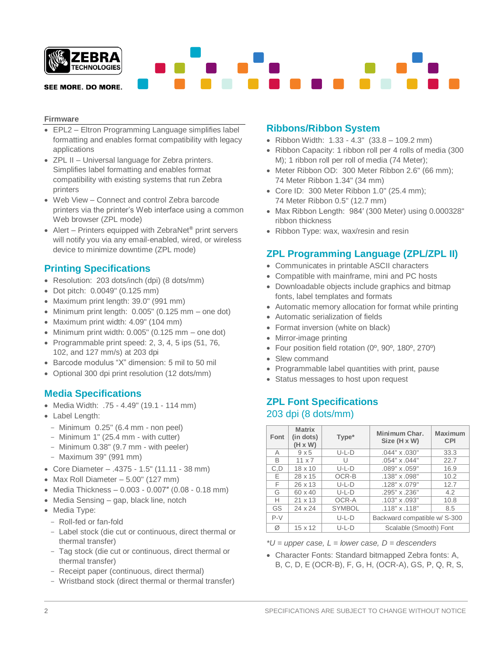

#### **Firmware**

- EPL2 Eltron Programming Language simplifies label formatting and enables format compatibility with legacy applications
- ZPL II Universal language for Zebra printers. Simplifies label formatting and enables format compatibility with existing systems that run Zebra printers
- Web View Connect and control Zebra barcode printers via the printer's Web interface using a common Web browser (ZPL mode)
- Alert Printers equipped with ZebraNet**®** print servers will notify you via any email-enabled, wired, or wireless device to minimize downtime (ZPL mode)

### **Printing Specifications**

- Resolution: 203 dots/inch (dpi) (8 dots/mm)
- Dot pitch: 0.0049" (0.125 mm)
- Maximum print length: 39.0" (991 mm)
- Minimum print length: 0.005" (0.125 mm one dot)
- Maximum print width: 4.09" (104 mm)
- Minimum print width: 0.005" (0.125 mm one dot)
- Programmable print speed: 2, 3, 4, 5 ips (51, 76, 102, and 127 mm/s) at 203 dpi
- Barcode modulus "X" dimension: 5 mil to 50 mil
- Optional 300 dpi print resolution (12 dots/mm)

### **Media Specifications**

- Media Width: .75 4.49" (19.1 114 mm)
- Label Length:
- Minimum 0.25" (6.4 mm non peel)
- Minimum 1" (25.4 mm with cutter)
- Minimum 0.38" (9.7 mm with peeler)
- Maximum 39" (991 mm)
- Core Diameter .4375 1.5" (11.11 38 mm)
- Max Roll Diameter  $-5.00$ " (127 mm)
- Media Thickness 0.003 0.007″ (0.08 0.18 mm)
- Media Sensing gap, black line, notch
- Media Type:
	- Roll-fed or fan-fold
	- Label stock (die cut or continuous, direct thermal or thermal transfer)
	- Tag stock (die cut or continuous, direct thermal or thermal transfer)
	- Receipt paper (continuous, direct thermal)
	- Wristband stock (direct thermal or thermal transfer)

## **Ribbons/Ribbon System**

- Ribbon Width: 1.33 4.3" (33.8 109.2 mm)
- Ribbon Capacity: 1 ribbon roll per 4 rolls of media (300 M); 1 ribbon roll per roll of media (74 Meter);
- Meter Ribbon OD: 300 Meter Ribbon 2.6" (66 mm); 74 Meter Ribbon 1.34" (34 mm)
- Core ID: 300 Meter Ribbon 1.0" (25.4 mm); 74 Meter Ribbon 0.5" (12.7 mm)
- Max Ribbon Length: 984′ (300 Meter) using 0.000328" ribbon thickness
- Ribbon Type: wax, wax/resin and resin

# **ZPL Programming Language (ZPL/ZPL II)**

- Communicates in printable ASCII characters
- Compatible with mainframe, mini and PC hosts
- Downloadable objects include graphics and bitmap fonts, label templates and formats
- Automatic memory allocation for format while printing
- Automatic serialization of fields
- Format inversion (white on black)
- Mirror-image printing
- Four position field rotation (0º, 90º, 180º, 270º)
- Slew command
- Programmable label quantities with print, pause
- Status messages to host upon request

# **ZPL Font Specifications**  203 dpi (8 dots/mm)

| Font  | <b>Matrix</b><br>(in dots)<br>$(H \times W)$ | Type*         | Minimum Char.<br>Size (H x W) | <b>Maximum</b><br><b>CPI</b> |
|-------|----------------------------------------------|---------------|-------------------------------|------------------------------|
| А     | 9x5                                          | $U-L-D$       | $.044" \times .030"$          | 33.3                         |
| B     | $11 \times 7$                                | U             | $.054" \times .044"$          | 22.7                         |
| C.D   | $18 \times 10$                               | $U-L-D$       | .089" x .059"                 | 16.9                         |
| F.    | 28 x 15                                      | OCR-B         | .138" x .098"                 | 10.2                         |
| F     | 26 x 13                                      | $U-L-D$       | .128" x .079"                 | 12.7                         |
| G     | $60 \times 40$                               | $U-L-D$       | .295" x .236"                 | 4.2                          |
| н     | $21 \times 13$                               | OCR-A         | $.103" \times .093"$          | 10.8                         |
| GS    | 24 x 24                                      | <b>SYMBOL</b> | .118" x.118"                  | 8.5                          |
| $P-V$ |                                              | $U-L-D$       | Backward compatible w/ S-300  |                              |
| Ø     | $15 \times 12$                               | $U-L-D$       | Scalable (Smooth) Font        |                              |

*\*U = upper case, L = lower case, D = descenders*

• Character Fonts: Standard bitmapped Zebra fonts: A, B, C, D, E (OCR-B), F, G, H, (OCR-A), GS, P, Q, R, S,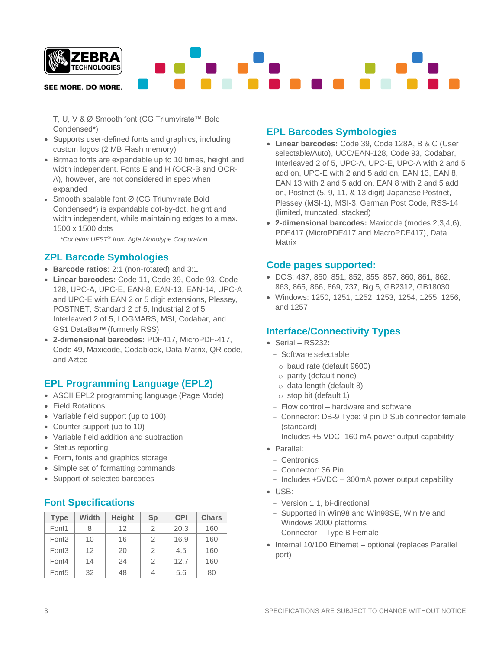

T, U, V & Ø Smooth font (CG Triumvirate™ Bold Condensed\*)

- Supports user-defined fonts and graphics, including custom logos (2 MB Flash memory)
- Bitmap fonts are expandable up to 10 times, height and width independent. Fonts E and H (OCR-B and OCR-A), however, are not considered in spec when expanded
- Smooth scalable font Ø (CG Triumvirate Bold Condensed\*) is expandable dot-by-dot, height and width independent, while maintaining edges to a max. 1500 x 1500 dots

 *\*Contains UFST*® *from Agfa Monotype Corporation*

# **ZPL Barcode Symbologies**

- **Barcode ratios**: 2:1 (non-rotated) and 3:1
- **Linear barcodes:** Code 11, Code 39, Code 93, Code 128, UPC-A, UPC-E, EAN-8, EAN-13, EAN-14, UPC-A and UPC-E with EAN 2 or 5 digit extensions, Plessey, POSTNET, Standard 2 of 5, Industrial 2 of 5, Interleaved 2 of 5, LOGMARS, MSI, Codabar, and GS1 DataBar<sup>™</sup> (formerly RSS)
- **2-dimensional barcodes:** PDF417, MicroPDF-417, Code 49, Maxicode, Codablock, Data Matrix, QR code, and Aztec

# **EPL Programming Language (EPL2)**

- ASCII EPL2 programming language (Page Mode)
- Field Rotations
- Variable field support (up to 100)
- Counter support (up to 10)
- Variable field addition and subtraction
- Status reporting
- Form, fonts and graphics storage
- Simple set of formatting commands
- Support of selected barcodes

# **Font Specifications**

| <b>Type</b>       | Width | <b>Height</b> | Sp | <b>CPI</b> | <b>Chars</b> |
|-------------------|-------|---------------|----|------------|--------------|
| Font1             | 8     | 12            | 2  | 20.3       | 160          |
| Font <sub>2</sub> | 10    | 16            | 2  | 16.9       | 160          |
| Font <sub>3</sub> | 12    | 20            | 2  | 4.5        | 160          |
| Font4             | 14    | 24            | 2  | 12.7       | 160          |
| Font <sub>5</sub> | 32    | 48            | 4  | 5.6        | 80           |

# **EPL Barcodes Symbologies**

- **Linear barcodes:** Code 39, Code 128A, B & C (User selectable/Auto), UCC/EAN-128, Code 93, Codabar, Interleaved 2 of 5, UPC-A, UPC-E, UPC-A with 2 and 5 add on, UPC-E with 2 and 5 add on, EAN 13, EAN 8, EAN 13 with 2 and 5 add on, EAN 8 with 2 and 5 add on, Postnet (5, 9, 11, & 13 digit) Japanese Postnet, Plessey (MSI-1), MSI-3, German Post Code, RSS-14 (limited, truncated, stacked)
- **2-dimensional barcodes:** Maxicode (modes 2,3,4,6), PDF417 (MicroPDF417 and MacroPDF417), Data **Matrix**

## **Code pages supported:**

- DOS: 437, 850, 851, 852, 855, 857, 860, 861, 862, 863, 865, 866, 869, 737, Big 5, GB2312, GB18030
- Windows: 1250, 1251, 1252, 1253, 1254, 1255, 1256, and 1257

# **Interface/Connectivity Types**

- Serial RS232**:**
	- Software selectable
		- o baud rate (default 9600)
		- o parity (default none)
		- o data length (default 8)
		- o stop bit (default 1)
	- Flow control hardware and software
	- Connector: DB-9 Type: 9 pin D Sub connector female (standard)
	- Includes +5 VDC- 160 mA power output capability
- Parallel:
	- Centronics
	- Connector: 36 Pin
	- Includes +5VDC 300mA power output capability
- USB:
	- Version 1.1, bi-directional
	- Supported in Win98 and Win98SE, Win Me and Windows 2000 platforms
	- Connector Type B Female
- Internal 10/100 Ethernet optional (replaces Parallel port)